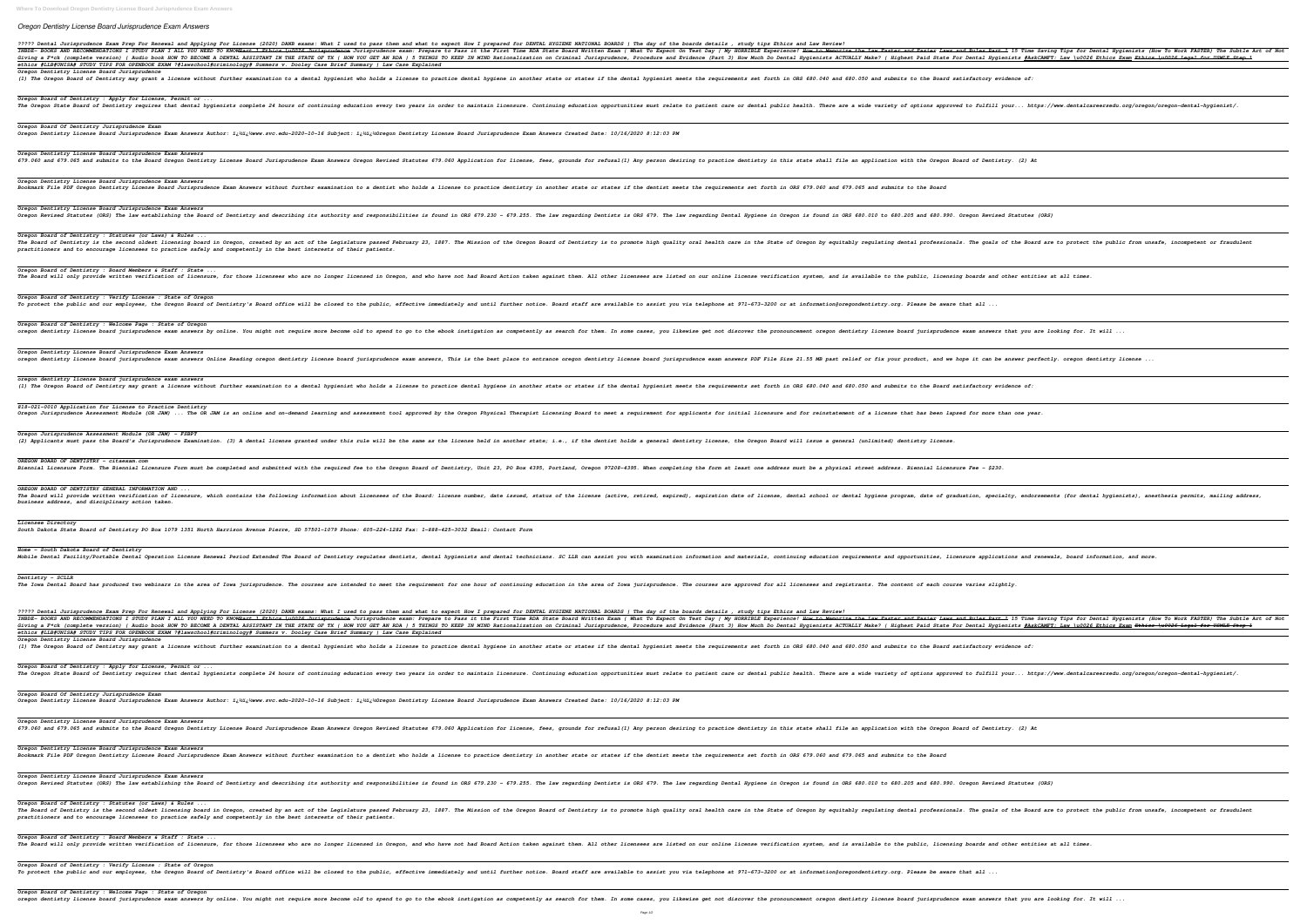## *Oregon Dentistry License Board Jurisprudence Exam Answers*

*Oregon Board of Dentistry : Welcome Page : State of Oregon*

| ????? Dental Jurisprudence Exam Prep For Renewal and Applying For License (2020) DANB exams: What I used to pass them and what to expect How I prepared for DENTAL HYGIENE NATIONAL BOARDS   The day of the boards details , s<br>TNBDE- BOOKS AND RECOMMENDATIONS I STUDY PLAN I ALL YOU NEED TO KNOW <del>Part 1 Ethics \u0026 Jurisprudence</del> \unisprudence exam: Prepare to Pass it the First Time RDA State Board Written Exam   What To Expect On Test Day   My<br>Giving a F*ck (complete version)   Audio book HOW TO BECOME A DENTAL ASSISTANT IN THE STATE OF TX   HOW YOU GET AN RDA   5 THINGS TO KEEP IN MIND Rationalization on Criminal Jurisprudence, Procedure and Evidence (Part 3) H<br>ethics #LLB#UNISA# STUDY TIPS FOR OPENBOOK EXAM ?#lawschool#criminology# Summers v. Dooley Case Brief Summary   Law Case Explained                                                                                                                                                                                                                                                                                   |
|-------------------------------------------------------------------------------------------------------------------------------------------------------------------------------------------------------------------------------------------------------------------------------------------------------------------------------------------------------------------------------------------------------------------------------------------------------------------------------------------------------------------------------------------------------------------------------------------------------------------------------------------------------------------------------------------------------------------------------------------------------------------------------------------------------------------------------------------------------------------------------------------------------------------------------------------------------------------------------------------------------------------------------------------------------------------------------------------------------------------------------------|
| Oregon Dentistry License Board Jurisprudence<br>(1) The Oregon Board of Dentistry may grant a license without further examination to a dental hygienist who holds a license to practice dental hygiene in another state or states if the dental hygiene in another state or st                                                                                                                                                                                                                                                                                                                                                                                                                                                                                                                                                                                                                                                                                                                                                                                                                                                      |
| Oregon Board of Dentistry : Apply for License, Permit or<br>The Oregon State Board of Dentistry requires that dental hygienists complete 24 hours of continuing education every two years in order to maintain licensure. Continuing education every two years in order to maintain licens                                                                                                                                                                                                                                                                                                                                                                                                                                                                                                                                                                                                                                                                                                                                                                                                                                          |
| Oregon Board Of Dentistry Jurisprudence Exam<br>Oregon Dentistry License Board Jurisprudence Exam Answers Author: i¿½i¿½www.svc.edu-2020-10-16 Subject: i¿½i¿½Oregon Dentistry License Board Jurisprudence Exam Answers Created Date: 10/16/2020 8:12:03 PM                                                                                                                                                                                                                                                                                                                                                                                                                                                                                                                                                                                                                                                                                                                                                                                                                                                                         |
| Oregon Dentistry License Board Jurisprudence Exam Answers<br>679.060 and 679.065 and submits to the Board Oregon Dentistry License Board Jurisprudence Exam Answers Oregon Revised Statutes 679.060 Application for Iicense, fees, grounds for refusal (1) Any person desiring to practice                                                                                                                                                                                                                                                                                                                                                                                                                                                                                                                                                                                                                                                                                                                                                                                                                                          |
| Oregon Dentistry License Board Jurisprudence Exam Answers<br>Bookmark File PDF Oregon Dentistry License Board Jurisprudence Exam Answers without further examination to a dentist who holds a license to practice dentistry in another states if the dentist who holds a license to practic                                                                                                                                                                                                                                                                                                                                                                                                                                                                                                                                                                                                                                                                                                                                                                                                                                         |
| Oregon Dentistry License Board Jurisprudence Exam Answers<br>Oregon Revised Statutes (ORS) The law establishing the Board of Dentistry and describing its authority and describing its authority and responsibilities is found in ORS 679.230 - 679.255. The law regarding Dentists is ORS                                                                                                                                                                                                                                                                                                                                                                                                                                                                                                                                                                                                                                                                                                                                                                                                                                          |
| Oregon Board of Dentistry : Statutes (or Laws) & Rules<br>The Board of Dentistry is the second oldest licensing board in Oregon, created by an act of the Legislature passed February 23, 1887. The Mission of the Dregon Board of Dentistry is to promote high quality oral health care<br>practitioners and to encourage licensees to practice safely and competently in the best interests of their patients.                                                                                                                                                                                                                                                                                                                                                                                                                                                                                                                                                                                                                                                                                                                    |
| Oregon Board of Dentistry : Board Members & Staff : State<br>The Board will only provide written verification of licensure, for those licensees who are no longer licensees who are no longer licensed in Oregon, and is available to the public, licensing boards and other entities                                                                                                                                                                                                                                                                                                                                                                                                                                                                                                                                                                                                                                                                                                                                                                                                                                               |
| Oregon Board of Dentistry : Verify License : State of Oregon<br>To protect the public and our employees, the Oregon Board of Dentistry's Board office will be closed to the public, effective immediately and until further notice. Board staff are available to assist you via telephone at 9                                                                                                                                                                                                                                                                                                                                                                                                                                                                                                                                                                                                                                                                                                                                                                                                                                      |
| Oregon Board of Dentistry : Welcome Page : State of Oregon<br>oregon dentistry license board jurisprudence exam answers by online. You might not require more become old to spend to go to the ebook instigation as competently as search for them. In some cases, you likewise get not disc                                                                                                                                                                                                                                                                                                                                                                                                                                                                                                                                                                                                                                                                                                                                                                                                                                        |
| Oregon Dentistry License Board Jurisprudence Exam Answers<br>oregon dentistry license board jurisprudence exam answers Online Reading oregon dentistry license board jurisprudence exam answers PDF File Size 21.55 MB past relief or fix your product, and we hope it can be answer perfec                                                                                                                                                                                                                                                                                                                                                                                                                                                                                                                                                                                                                                                                                                                                                                                                                                         |
| oregon dentistry license board jurisprudence exam answers<br>(1) The Oregon Board of Dentistry may grant a license without further examination to a dental hygienist who holds a license to practice dental hygiene in another state or states if the dental hygiene in another state or st                                                                                                                                                                                                                                                                                                                                                                                                                                                                                                                                                                                                                                                                                                                                                                                                                                         |
| 818-021-0010 Application for License to Practice Dentistry<br>Oregon Jurisprudence Assessment Module (OR JAM)  The OR JAM is an online and on-demand learning and assessment for applicants for reinstatement of a license that has been lapsed for more than one year.                                                                                                                                                                                                                                                                                                                                                                                                                                                                                                                                                                                                                                                                                                                                                                                                                                                             |
| Oregon Jurisprudence Assessment Module (OR JAM) - FSBPT<br>(2) Applicants must pass the Board's Jurisprudence Examination. (3) A dental license granted under this rule will be the same as the license, the Oregon Board will issue a general (unlimited) dentistry license.                                                                                                                                                                                                                                                                                                                                                                                                                                                                                                                                                                                                                                                                                                                                                                                                                                                       |
| OREGON BOARD OF DENTISTRY - citaexam.com<br>Biennial Licensure Form. The Biennial Licensure Form must be completed and submitted with the required fee to the Oregon Board of Dentistry, Unit 23, PO Box 4395, Portland, Oregon 97208-4395. When completing the form at le                                                                                                                                                                                                                                                                                                                                                                                                                                                                                                                                                                                                                                                                                                                                                                                                                                                          |
| OREGON BOARD OF DENTISTRY GENERAL INFORMATION AND<br>The Board will provide written verification of licensure, which contains the following information about and about License, dental school or dental hygiene program, date of graduation, specialty, endorsent where the Board:<br>business address, and disciplinary action taken.                                                                                                                                                                                                                                                                                                                                                                                                                                                                                                                                                                                                                                                                                                                                                                                             |
| Licensee Directory<br>South Dakota State Board of Dentistry PO Box 1079 1351 North Harrison Avenue Pierre, SD 57501-1079 Phone: 605-224-1282 Fax: 1-888-425-3032 Email: Contact Form                                                                                                                                                                                                                                                                                                                                                                                                                                                                                                                                                                                                                                                                                                                                                                                                                                                                                                                                                |
| Home - South Dakota Board of Dentistry<br>Mobile Dental Facility/Portable Dental Operation License Renewal Period Extended The Board of Dentistry regulates dental technicians. SC LLR can assist you with examination information and materials, continuing education r                                                                                                                                                                                                                                                                                                                                                                                                                                                                                                                                                                                                                                                                                                                                                                                                                                                            |
| <b>Dentistry - SCLLR</b><br>The Iowa Dental Board has produced two webinars in the area of Iowa jurisprudence. The courses are approved for all licensees and registrants. The content of each course varies slightly. The Iowa Dental Board has produced                                                                                                                                                                                                                                                                                                                                                                                                                                                                                                                                                                                                                                                                                                                                                                                                                                                                           |
| ????? Dental Jurisprudence Exam Prep For Renewal and Applying For License (2020) DANB exams: What I used to pass them and what to expect How I prepared for DENTAL HYGIENE NATIONAL BOARDS   The day of the boards details , s<br>INBDE- BOOKS AND RECOMMENDATIONS I STUDY PLAN I ALL YOU NEED TO KNOW <del>Part 1 Ethics \u0026 Jurisprudence</del> lurisprudence aram: Prepare to Pass it the First Time RDA State Board Written Exam   What To Expect On Test Day   My<br>Giving a F*ck (complete version)   Audio book HOW TO BECOME A DENTAL ASSISTANT IN THE STATE OF TX   HOW YOU GET AN RDA   5 THINGS TO KEEP IN MIND Rationalization on Criminal Jurisprudence, Procedure and Evidence (Part 3) H<br>ethics #LLB#UNISA# STUDY TIPS FOR OPENBOOK EXAM ?#lawschool#criminology# Summers v. Dooley Case Brief Summary   Law Case Explained<br>Oregon Dentistry License Board Jurisprudence<br>(1) The Oregon Board of Dentistry may grant a license without further examination to a dental hygienist who holds a license to practice dental hygiene in another state or states if the dental hygiene in another state or st |
| Oregon Board of Dentistry : Apply for License, Permit or<br>The Oregon State Board of Dentistry requires that dental hygienists complete 24 hours of continuing education every two years in order to maintain licensure. Continuing education every two years in order to maintain licens                                                                                                                                                                                                                                                                                                                                                                                                                                                                                                                                                                                                                                                                                                                                                                                                                                          |
| Oregon Board Of Dentistry Jurisprudence Exam<br>Oregon Dentistry License Board Jurisprudence Exam Answers Author: i¿½i¿½www.svc.edu-2020-10-16 Subject: i¿½i¿½Oregon Dentistry License Board Jurisprudence Exam Answers Created Date: 10/16/2020 8:12:03 PM                                                                                                                                                                                                                                                                                                                                                                                                                                                                                                                                                                                                                                                                                                                                                                                                                                                                         |
| Oregon Dentistry License Board Jurisprudence Exam Answers<br>679.060 and 679.065 and submits to the Board Oregon Dentistry License Board Jurisprudence Exam Answers Oregon Revised Statutes 679.060 Application for Iicense, fees, grounds for refusal (1) Any person desiring to practice                                                                                                                                                                                                                                                                                                                                                                                                                                                                                                                                                                                                                                                                                                                                                                                                                                          |
| Oregon Dentistry License Board Jurisprudence Exam Answers<br>Bookmark File PDF Oregon Dentistry License Board Jurisprudence Exam Answers without further examination to a dentist who holds a license to practice dentistry in another states if the dentist who holds a license to practic                                                                                                                                                                                                                                                                                                                                                                                                                                                                                                                                                                                                                                                                                                                                                                                                                                         |
| Oregon Dentistry License Board Jurisprudence Exam Answers<br>Oregon Revised Statutes (ORS) The law establishing the Board of Dentistry and describing its authority and describing its authority and sesponsibilities is found in ORS 679.230 - 679.255. The law regarding Dentists is ORS                                                                                                                                                                                                                                                                                                                                                                                                                                                                                                                                                                                                                                                                                                                                                                                                                                          |
| Oregon Board of Dentistry : Statutes (or Laws) & Rules<br>The Board of Dentistry is the second oldest licensing board in Oregon, created by an act of the State of Oregon by equitably regulating dental professionals. The goals of the Board and the State of Oregon Board of Dentistr<br>practitioners and to encourage licensees to practice safely and competently in the best interests of their patients.                                                                                                                                                                                                                                                                                                                                                                                                                                                                                                                                                                                                                                                                                                                    |
| Oregon Board of Dentistry : Board Members & Staff : State<br>The Board will only provide written verification of licensure, for those licensees who are no longer licensees are listed on our online license verification system, and is available to the public, licensing boards and othe                                                                                                                                                                                                                                                                                                                                                                                                                                                                                                                                                                                                                                                                                                                                                                                                                                         |
| Oregon Board of Dentistry : Verify License : State of Oregon<br>To protect the public and our employees, the Oregon Board of Dentistry's Board office will be closed to the public, effective immediately and until further notice. Board staff are available to assist you via telephone at 9                                                                                                                                                                                                                                                                                                                                                                                                                                                                                                                                                                                                                                                                                                                                                                                                                                      |
| Oregon Board of Dentistry : Welcome Page : State of Oregon                                                                                                                                                                                                                                                                                                                                                                                                                                                                                                                                                                                                                                                                                                                                                                                                                                                                                                                                                                                                                                                                          |

oregon dentistry license board jurisprudence exam answers by online. You might not require more become old to spend to go to the ebook instigation as competently as search for them. In some cases, you likewise get not disc

| ring Tips for Dental Hygienists (How To Work FASTER) The Subtle Art of Not          |
|-------------------------------------------------------------------------------------|
|                                                                                     |
| //www.dentalcareersedu.org/oregon/oregon-dental-hygienist/.                         |
|                                                                                     |
|                                                                                     |
|                                                                                     |
| ເS)                                                                                 |
| Ire to protect the public from unsafe, incompetent or fraudulent                    |
| at all times.                                                                       |
|                                                                                     |
| looking for. It will                                                                |
| tly. oregon dentistry license                                                       |
|                                                                                     |
|                                                                                     |
|                                                                                     |
|                                                                                     |
| ents (for dental hygienists), anesthesia permits, mailing address,                  |
|                                                                                     |
| wals, board information, and more.                                                  |
|                                                                                     |
| ring Tips for Dental Hygienists (How To Work FASTER) The Subtle Art of Not          |
| <u> IFT: Law \u0026 Ethics Exam <del>Ethics \u0026 Legal for USMLE Step 1</del></u> |
| //www.dentalcareersedu.org/oregon/oregon-dental-hygienist/.                         |
|                                                                                     |
|                                                                                     |
|                                                                                     |
| ເຮ)                                                                                 |
| re to protect the public from unsafe, incompetent or fraudulent                     |
|                                                                                     |
| at all times.                                                                       |